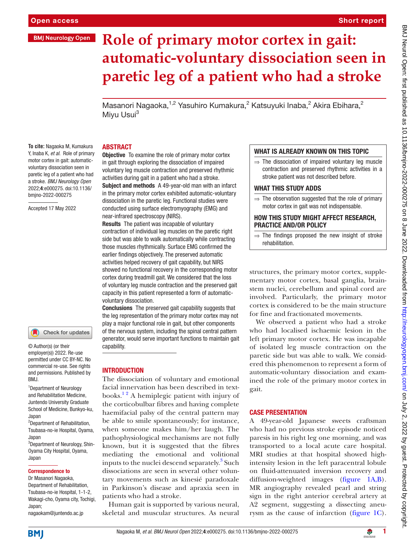# **BMJ Neurology Open**

# Short report

# **Role of primary motor cortex in gait: automatic-voluntary dissociation seen in paretic leg of a patient who had a stroke**

Masanori Nagaoka,<sup>1,2</sup> Yasuhiro Kumakura,<sup>2</sup> Katsuyuki Inaba,<sup>2</sup> Akira Ebihara,<sup>2</sup> Mivu Usui<sup>3</sup>

#### ABSTRACT

**To cite:** Nagaoka M, Kumakura Y, Inaba K*, et al*. Role of primary motor cortex in gait: automaticvoluntary dissociation seen in paretic leg of a patient who had a stroke. *BMJ Neurology Open* 2022;4:e000275. doi:10.1136/ bmjno-2022-000275

Accepted 17 May 2022

#### Check for updates

© Author(s) (or their employer(s)) 2022. Re-use permitted under CC BY-NC. No commercial re-use. See rights and permissions. Published by BMJ.

<sup>1</sup> Department of Neurology and Rehabilitation Medicine, Juntendo University Graduate School of Medicine, Bunkyo-ku, Japan

2 Department of Rehabilitation, Tsubasa-no-ie Hospital, Oyama, Japan

<sup>3</sup>Department of Neurology, Shin-Oyama City Hospital, Oyama, Japan

#### Correspondence to

Dr Masanori Nagaoka, Department of Rehabilitation, Tsubasa-no-ie Hospital, 1-1-2, Wakagi-cho, Oyama city, Tochigi, Japan; nagaokam@juntendo.ac.jp

**Objective** To examine the role of primary motor cortex in gait through exploring the dissociation of impaired voluntary leg muscle contraction and preserved rhythmic activities during gait in a patient who had a stroke.

Subject and methods A 49-year-old man with an infarct in the primary motor cortex exhibited automatic-voluntary dissociation in the paretic leg. Functional studies were conducted using surface electromyography (EMG) and near-infrared spectroscopy (NIRS).

Results The patient was incapable of voluntary contraction of individual leg muscles on the paretic right side but was able to walk automatically while contracting those muscles rhythmically. Surface EMG confirmed the earlier findings objectively. The preserved automatic activities helped recovery of gait capability, but NIRS showed no functional recovery in the corresponding motor cortex during treadmill gait. We considered that the loss of voluntary leg muscle contraction and the preserved gait capacity in this patient represented a form of automaticvoluntary dissociation.

Conclusions The preserved gait capability suggests that the leg representation of the primary motor cortex may not play a major functional role in gait, but other components of the nervous system, including the spinal central pattern generator, would serve important functions to maintain gait capability.

## **INTRODUCTION**

The dissociation of voluntary and emotional facial innervation has been described in textbooks. $1<sup>2</sup>$  A hemiplegic patient with injury of the corticobulbar fibres and having complete haemifacial palsy of the central pattern may be able to smile spontaneously; for instance, when someone makes him/her laugh. The pathophysiological mechanisms are not fully known, but it is suggested that the fibres mediating the emotional and volitional inputs to the nuclei descend separately.<sup>[3](#page-3-1)</sup> Such dissociations are seen in several other voluntary movements such as kinesié paradoxale in Parkinson's disease and apraxia seen in patients who had a stroke.

Human gait is supported by various neural, skeletal and muscular structures. As neural

## WHAT IS ALREADY KNOWN ON THIS TOPIC

 $\Rightarrow$  The dissociation of impaired voluntary leg muscle contraction and preserved rhythmic activities in a stroke patient was not described before.

# WHAT THIS STUDY ADDS

 $\Rightarrow$  The observation suggested that the role of primary motor cortex in gait was not indispensable.

#### HOW THIS STUDY MIGHT AFFECT RESEARCH, PRACTICE AND/OR POLICY

 $\Rightarrow$  The findings proposed the new insight of stroke rehabilitation.

structures, the primary motor cortex, supplementary motor cortex, basal ganglia, brainstem nuclei, cerebellum and spinal cord are involved. Particularly, the primary motor cortex is considered to be the main structure for fine and fractionated movements.

We observed a patient who had a stroke who had localised ischaemic lesion in the left primary motor cortex. He was incapable of isolated leg muscle contraction on the paretic side but was able to walk. We considered this phenomenon to represent a form of automatic-voluntary dissociation and examined the role of the primary motor cortex in gait.

# CASE PRESENTATION

A 49-year-old Japanese sweets craftsman who had no previous stroke episode noticed paresis in his right leg one morning, and was transported to a local acute care hospital. MRI studies at that hospital showed highintensity lesion in the left paracentral lobule on fluid-attenuated inversion recovery and diffusion-weighted images ([figure](#page-1-0) 1A,B). MR angiography revealed pearl and string sign in the right anterior cerebral artery at A2 segment, suggesting a dissecting aneurysm as the cause of infarction ([figure](#page-1-0) 1C).

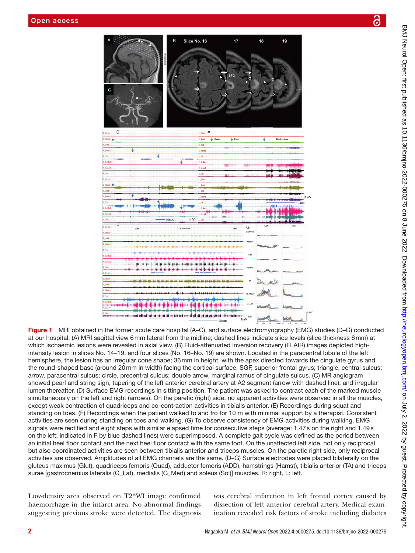

<span id="page-1-0"></span>Figure 1 MRI obtained in the former acute care hospital (A–C), and surface electromyography (EMG) studies (D–G) conducted at our hospital. (A) MRI sagittal view 6mm lateral from the midline; dashed lines indicate slice levels (slice thickness 6mm) at which ischaemic lesions were revealed in axial view. (B) Fluid-attenuated inversion recovery (FLAIR) images depicted highintensity lesion in slices No. 14–19, and four slices (No. 16–No. 19) are shown. Located in the paracentral lobule of the left hemisphere, the lesion has an irregular cone shape; 36mm in height, with the apex directed towards the cingulate gyrus and the round-shaped base (around 20mm in width) facing the cortical surface. SGF, superior frontal gyrus; triangle, central sulcus; arrow, paracentral sulcus; circle, precentral sulcus; double arrow, marginal ramus of cingulate sulcus. (C) MR angiogram showed pearl and string sign, tapering of the left anterior cerebral artery at A2 segment (arrow with dashed line), and irregular lumen thereafter. (D) Surface EMG recordings in sitting position. The patient was asked to contract each of the marked muscle simultaneously on the left and right (arrows). On the paretic (right) side, no apparent activities were observed in all the muscles, except weak contraction of quadriceps and co-contraction activities in tibialis anterior. (E) Recordings during squat and standing on toes. (F) Recordings when the patient walked to and fro for 10 m with minimal support by a therapist. Consistent activities are seen during standing on toes and walking. (G) To observe consistency of EMG activities during walking, EMG signals were rectified and eight steps with similar elapsed time for consecutive steps (average: 1.47s on the right and 1.49s on the left; indicated in F by blue dashed lines) were superimposed. A complete gait cycle was defined as the period between an initial heel floor contact and the next heel floor contact with the same foot. On the unaffected left side, not only reciprocal, but also coordinated activities are seen between tibialis anterior and triceps muscles. On the paretic right side, only reciprocal activities are observed. Amplitudes of all EMG channels are the same. (D–G) Surface electrodes were placed bilaterally on the gluteus maximus (Glut), quadriceps femoris (Quad), adductor femoris (ADD), hamstrings (Hamst), tibialis anterior (TA) and triceps surae [gastrocnemius lateralis (G\_Lat), medialis (G\_Med) and soleus (Sol)] muscles. R: right, L: left.

Low-density area observed on T2\*WI image confirmed haemorrhage in the infarct area. No abnormal findings suggesting previous stroke were detected. The diagnosis

was cerebral infarction in left frontal cortex caused by dissection of left anterior cerebral artery. Medical examination revealed risk factors of stroke including diabetes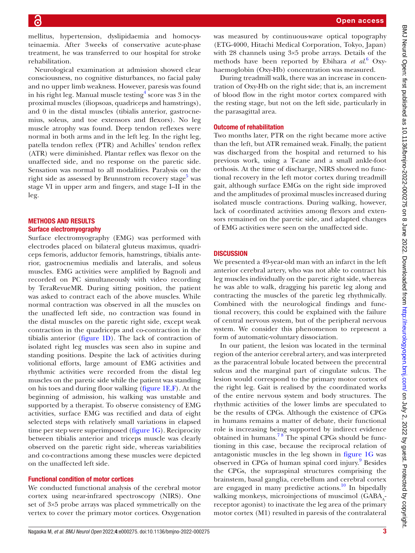Open access

mellitus, hypertension, dyslipidaemia and homocysteinaemia. After 3weeks of conservative acute-phase treatment, he was transferred to our hospital for stroke rehabilitation.

Neurological examination at admission showed clear consciousness, no cognitive disturbances, no facial palsy and no upper limb weakness. However, paresis was found in his right leg. Manual muscle testing<sup>4</sup> score was 3 in the proximal muscles (iliopsoas, quadriceps and hamstrings), and 0 in the distal muscles (tibialis anterior, gastrocnemius, soleus, and toe extensors and flexors). No leg muscle atrophy was found. Deep tendon reflexes were normal in both arms and in the left leg. In the right leg, patella tendon reflex (PTR) and Achilles' tendon reflex (ATR) were diminished. Plantar reflex was flexor on the unaffected side, and no response on the paretic side. Sensation was normal to all modalities. Paralysis on the right side as assessed by Brunnstrom recovery stage<sup>[5](#page-3-3)</sup> was stage VI in upper arm and fingers, and stage I–II in the leg.

# METHODS AND RESULTS Surface electromyography

Surface electromyography (EMG) was performed with electrodes placed on bilateral gluteus maximus, quadriceps femoris, adductor femoris, hamstrings, tibialis anterior, gastrocnemius medialis and lateralis, and soleus muscles. EMG activities were amplified by Bagnoli and recorded on PC simultaneously with video recording by TeraRevueMR. During sitting position, the patient was asked to contract each of the above muscles. While normal contraction was observed in all the muscles on the unaffected left side, no contraction was found in the distal muscles on the paretic right side, except weak contraction in the quadriceps and co-contraction in the tibialis anterior [\(figure](#page-1-0) 1D). The lack of contraction of isolated right leg muscles was seen also in supine and standing positions. Despite the lack of activities during volitional efforts, large amount of EMG activities and rhythmic activities were recorded from the distal leg muscles on the paretic side while the patient was standing on his toes and during floor walking [\(figure](#page-1-0) 1E,F). At the beginning of admission, his walking was unstable and supported by a therapist. To observe consistency of EMG activities, surface EMG was rectified and data of eight selected steps with relatively small variations in elapsed time per step were superimposed [\(figure](#page-1-0) 1G). Reciprocity between tibialis anterior and triceps muscle was clearly observed on the paretic right side, whereas variabilities and co-contractions among these muscles were depicted on the unaffected left side.

# Functional condition of motor cortices

We conducted functional analysis of the cerebral motor cortex using near-infrared spectroscopy (NIRS). One set of 3×5 probe arrays was placed symmetrically on the vertex to cover the primary motor cortices. Oxygenation

was measured by continuous-wave optical topography (ETG-4000, Hitachi Medical Corporation, Tokyo, Japan) with 28 channels using 3×5 probe arrays. Details of the methods have been reported by Ebihara *et al*. [6](#page-3-4) Oxyhaemoglobin (Oxy-Hb) concentration was measured.

During treadmill walk, there was an increase in concentration of Oxy-Hb on the right side; that is, an increment of blood flow in the right motor cortex compared with the resting stage, but not on the left side, particularly in the parasagittal area.

# Outcome of rehabilitation

Two months later, PTR on the right became more active than the left, but ATR remained weak. Finally, the patient was discharged from the hospital and returned to his previous work, using a T-cane and a small ankle-foot orthosis. At the time of discharge, NIRS showed no functional recovery in the left motor cortex during treadmill gait, although surface EMGs on the right side improved and the amplitudes of proximal muscles increased during isolated muscle contractions. During walking, however, lack of coordinated activities among flexors and extensors remained on the paretic side, and adapted changes of EMG activities were seen on the unaffected side.

### **DISCUSSION**

We presented a 49-year-old man with an infarct in the left anterior cerebral artery, who was not able to contract his leg muscles individually on the paretic right side, whereas he was able to walk, dragging his paretic leg along and contracting the muscles of the paretic leg rhythmically. Combined with the neurological findings and functional recovery, this could be explained with the failure of central nervous system, but of the peripheral nervous system. We consider this phenomenon to represent a form of automatic-voluntary dissociation.

In our patient, the lesion was located in the terminal region of the anterior cerebral artery, and was interpreted as the paracentral lobule located between the precentral sulcus and the marginal part of cingulate sulcus. The lesion would correspond to the primary motor cortex of the right leg. Gait is realised by the coordinated works of the entire nervous system and body structures. The rhythmic activities of the lower limbs are speculated to be the results of CPGs. Although the existence of CPGs in humans remains a matter of debate, their functional role is increasing being supported by indirect evidence obtained in humans.<sup>78</sup> The spinal CPGs should be functioning in this case, because the reciprocal relation of antagonistic muscles in the leg shown in [figure](#page-1-0) 1G was observed in CPGs of human spinal cord injury.<sup>[9](#page-3-6)</sup> Besides the CPGs, the supraspinal structures comprising the brainstem, basal ganglia, cerebellum and cerebral cortex are engaged in many predictive actions.<sup>10</sup> In bipedally walking monkeys, microinjections of muscimol (GABA,receptor agonist) to inactivate the leg area of the primary motor cortex (M1) resulted in paresis of the contralateral